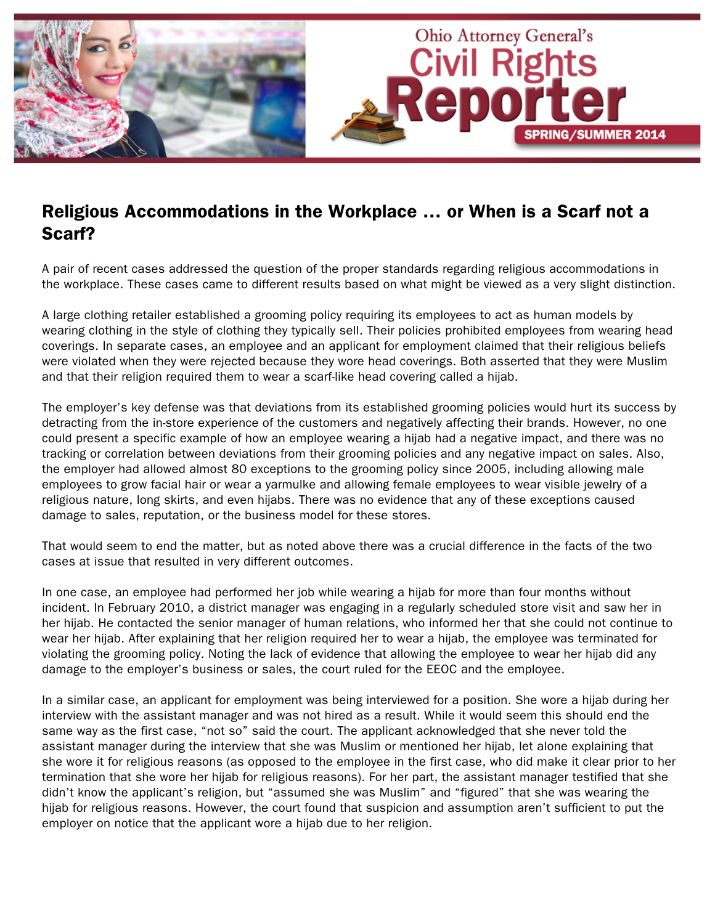

# Religious Accommodations in the Workplace … or When is a Scarf not a Scarf?

A pair of recent cases addressed the question of the proper standards regarding religious accommodations in the workplace. These cases came to different results based on what might be viewed as a very slight distinction.

A large clothing retailer established a grooming policy requiring its employees to act as human models by wearing clothing in the style of clothing they typically sell. Their policies prohibited employees from wearing head coverings. In separate cases, an employee and an applicant for employment claimed that their religious beliefs were violated when they were rejected because they wore head coverings. Both asserted that they were Muslim and that their religion required them to wear a scarf-like head covering called a hijab.

The employer's key defense was that deviations from its established grooming policies would hurt its success by detracting from the in-store experience of the customers and negatively affecting their brands. However, no one could present a specific example of how an employee wearing a hijab had a negative impact, and there was no tracking or correlation between deviations from their grooming policies and any negative impact on sales. Also, the employer had allowed almost 80 exceptions to the grooming policy since 2005, including allowing male employees to grow facial hair or wear a yarmulke and allowing female employees to wear visible jewelry of a religious nature, long skirts, and even hijabs. There was no evidence that any of these exceptions caused damage to sales, reputation, or the business model for these stores.

That would seem to end the matter, but as noted above there was a crucial difference in the facts of the two cases at issue that resulted in very different outcomes.

In one case, an employee had performed her job while wearing a hijab for more than four months without incident. In February 2010, a district manager was engaging in a regularly scheduled store visit and saw her in her hijab. He contacted the senior manager of human relations, who informed her that she could not continue to wear her hijab. After explaining that her religion required her to wear a hijab, the employee was terminated for violating the grooming policy. Noting the lack of evidence that allowing the employee to wear her hijab did any damage to the employer's business or sales, the court ruled for the EEOC and the employee.

In a similar case, an applicant for employment was being interviewed for a position. She wore a hijab during her interview with the assistant manager and was not hired as a result. While it would seem this should end the same way as the first case, "not so" said the court. The applicant acknowledged that she never told the assistant manager during the interview that she was Muslim or mentioned her hijab, let alone explaining that she wore it for religious reasons (as opposed to the employee in the first case, who did make it clear prior to her termination that she wore her hijab for religious reasons). For her part, the assistant manager testified that she didn't know the applicant's religion, but "assumed she was Muslim" and "figured" that she was wearing the hijab for religious reasons. However, the court found that suspicion and assumption aren't sufficient to put the employer on notice that the applicant wore a hijab due to her religion.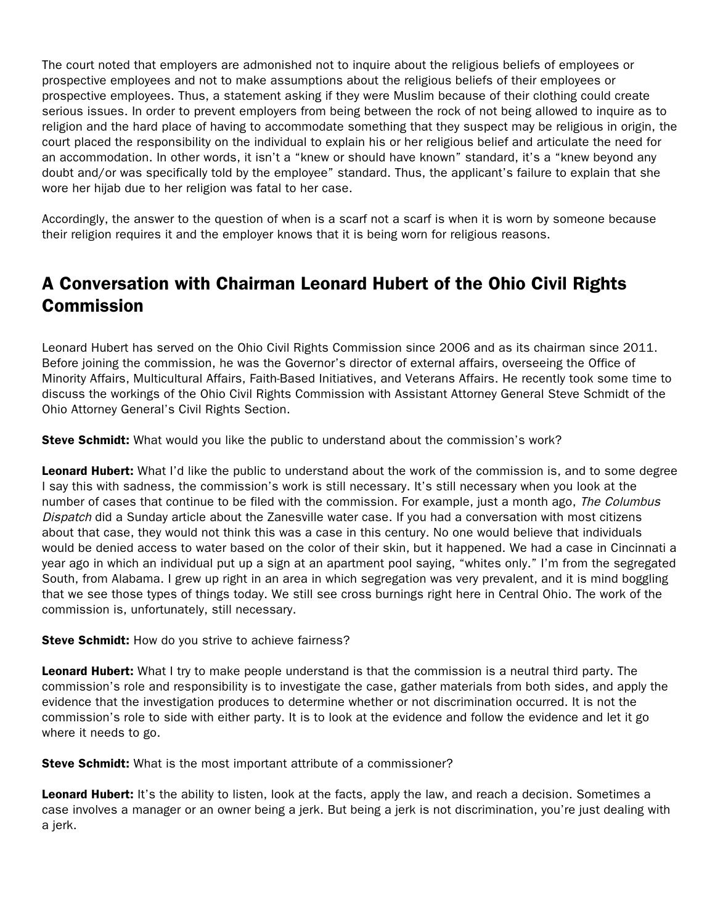The court noted that employers are admonished not to inquire about the religious beliefs of employees or prospective employees and not to make assumptions about the religious beliefs of their employees or prospective employees. Thus, a statement asking if they were Muslim because of their clothing could create serious issues. In order to prevent employers from being between the rock of not being allowed to inquire as to religion and the hard place of having to accommodate something that they suspect may be religious in origin, the court placed the responsibility on the individual to explain his or her religious belief and articulate the need for an accommodation. In other words, it isn't a "knew or should have known" standard, it's a "knew beyond any doubt and/or was specifically told by the employee" standard. Thus, the applicant's failure to explain that she wore her hijab due to her religion was fatal to her case.

Accordingly, the answer to the question of when is a scarf not a scarf is when it is worn by someone because their religion requires it and the employer knows that it is being worn for religious reasons.

# A Conversation with Chairman Leonard Hubert of the Ohio Civil Rights Commission

Leonard Hubert has served on the Ohio Civil Rights Commission since 2006 and as its chairman since 2011. Before joining the commission, he was the Governor's director of external affairs, overseeing the Office of Minority Affairs, Multicultural Affairs, Faith-Based Initiatives, and Veterans Affairs. He recently took some time to discuss the workings of the Ohio Civil Rights Commission with Assistant Attorney General Steve Schmidt of the Ohio Attorney General's Civil Rights Section.

**Steve Schmidt:** What would you like the public to understand about the commission's work?

Leonard Hubert: What I'd like the public to understand about the work of the commission is, and to some degree I say this with sadness, the commission's work is still necessary. It's still necessary when you look at the number of cases that continue to be filed with the commission. For example, just a month ago, The Columbus Dispatch did a Sunday article about the Zanesville water case. If you had a conversation with most citizens about that case, they would not think this was a case in this century. No one would believe that individuals would be denied access to water based on the color of their skin, but it happened. We had a case in Cincinnati a year ago in which an individual put up a sign at an apartment pool saying, "whites only." I'm from the segregated South, from Alabama. I grew up right in an area in which segregation was very prevalent, and it is mind boggling that we see those types of things today. We still see cross burnings right here in Central Ohio. The work of the commission is, unfortunately, still necessary.

**Steve Schmidt:** How do you strive to achieve fairness?

**Leonard Hubert:** What I try to make people understand is that the commission is a neutral third party. The commission's role and responsibility is to investigate the case, gather materials from both sides, and apply the evidence that the investigation produces to determine whether or not discrimination occurred. It is not the commission's role to side with either party. It is to look at the evidence and follow the evidence and let it go where it needs to go.

**Steve Schmidt:** What is the most important attribute of a commissioner?

Leonard Hubert: It's the ability to listen, look at the facts, apply the law, and reach a decision. Sometimes a case involves a manager or an owner being a jerk. But being a jerk is not discrimination, you're just dealing with a jerk.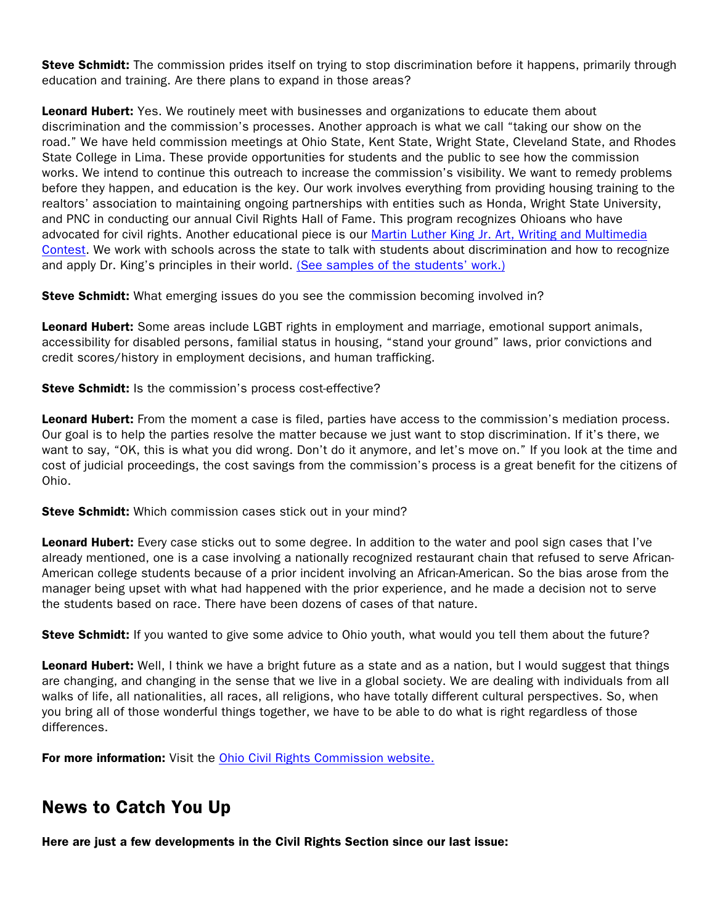Steve Schmidt: The commission prides itself on trying to stop discrimination before it happens, primarily through education and training. Are there plans to expand in those areas?

**Leonard Hubert:** Yes. We routinely meet with businesses and organizations to educate them about discrimination and the commission's processes. Another approach is what we call "taking our show on the road." We have held commission meetings at Ohio State, Kent State, Wright State, Cleveland State, and Rhodes State College in Lima. These provide opportunities for students and the public to see how the commission works. We intend to continue this outreach to increase the commission's visibility. We want to remedy problems before they happen, and education is the key. Our work involves everything from providing housing training to the realtors' association to maintaining ongoing partnerships with entities such as Honda, Wright State University, and PNC in conducting our annual Civil Rights Hall of Fame. This program recognizes Ohioans who have advocated for civil rights. Another educational piece is our [Martin Luther King Jr. Art, Writing and Multimedia](http://crc.ohio.gov/PublicAffairs/MLKContestGrades612.aspx)  [Contest.](http://crc.ohio.gov/PublicAffairs/MLKContestGrades612.aspx) We work with schools across the state to talk with students about discrimination and how to recognize and apply Dr. King's principles in their world. [\(See samples of the students' work.\)](http://crc.ohio.gov/)

**Steve Schmidt:** What emerging issues do you see the commission becoming involved in?

Leonard Hubert: Some areas include LGBT rights in employment and marriage, emotional support animals, accessibility for disabled persons, familial status in housing, "stand your ground" laws, prior convictions and credit scores/history in employment decisions, and human trafficking.

Steve Schmidt: Is the commission's process cost-effective?

Leonard Hubert: From the moment a case is filed, parties have access to the commission's mediation process. Our goal is to help the parties resolve the matter because we just want to stop discrimination. If it's there, we want to say, "OK, this is what you did wrong. Don't do it anymore, and let's move on." If you look at the time and cost of judicial proceedings, the cost savings from the commission's process is a great benefit for the citizens of Ohio.

**Steve Schmidt:** Which commission cases stick out in your mind?

Leonard Hubert: Every case sticks out to some degree. In addition to the water and pool sign cases that I've already mentioned, one is a case involving a nationally recognized restaurant chain that refused to serve African-American college students because of a prior incident involving an African-American. So the bias arose from the manager being upset with what had happened with the prior experience, and he made a decision not to serve the students based on race. There have been dozens of cases of that nature.

Steve Schmidt: If you wanted to give some advice to Ohio youth, what would you tell them about the future?

Leonard Hubert: Well, I think we have a bright future as a state and as a nation, but I would suggest that things are changing, and changing in the sense that we live in a global society. We are dealing with individuals from all walks of life, all nationalities, all races, all religions, who have totally different cultural perspectives. So, when you bring all of those wonderful things together, we have to be able to do what is right regardless of those differences.

For more information: Visit the [Ohio Civil Rights Commission website.](http://crc.ohio.gov/)

# News to Catch You Up

Here are just a few developments in the Civil Rights Section since our last issue: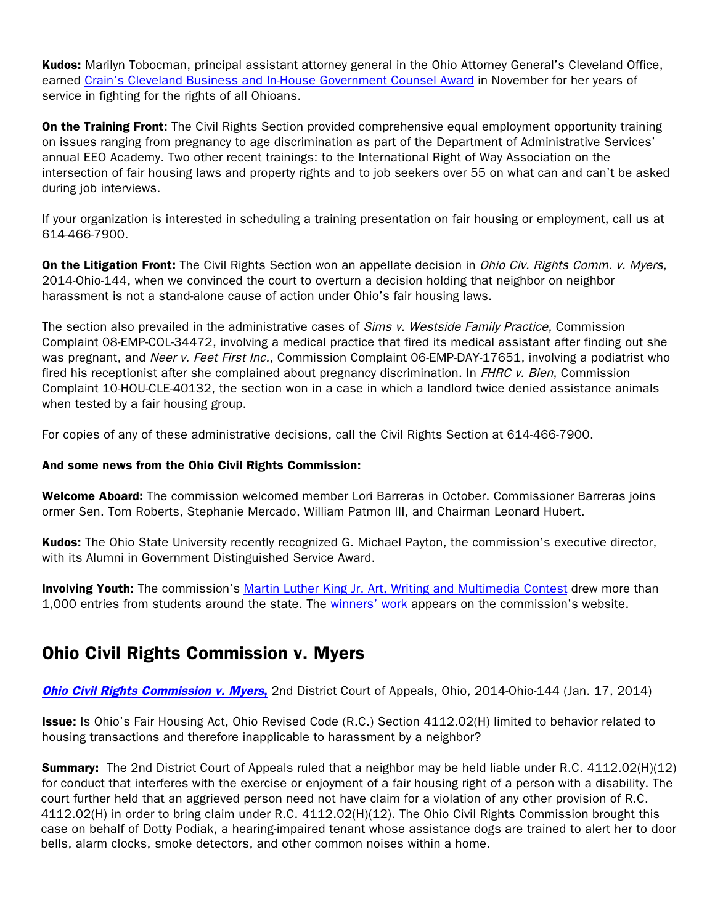Kudos: Marilyn Tobocman, principal assistant attorney general in the Ohio Attorney General's Cleveland Office, earned [Crain's Cleveland Business and In-House Government Counsel Award](http://www.crainscleveland.com/article/20131103/GENERAL13/311039982/1328) in November for her years of service in fighting for the rights of all Ohioans.

**On the Training Front:** The Civil Rights Section provided comprehensive equal employment opportunity training on issues ranging from pregnancy to age discrimination as part of the Department of Administrative Services' annual EEO Academy. Two other recent trainings: to the International Right of Way Association on the intersection of fair housing laws and property rights and to job seekers over 55 on what can and can't be asked during job interviews.

If your organization is interested in scheduling a training presentation on fair housing or employment, call us at 614-466-7900.

**On the Litigation Front:** The Civil Rights Section won an appellate decision in *Ohio Civ. Rights Comm. v. Myers*, 2014-Ohio-144, when we convinced the court to overturn a decision holding that neighbor on neighbor harassment is not a stand-alone cause of action under Ohio's fair housing laws.

The section also prevailed in the administrative cases of Sims v. Westside Family Practice, Commission Complaint 08-EMP-COL-34472, involving a medical practice that fired its medical assistant after finding out she was pregnant, and Neer v. Feet First Inc., Commission Complaint 06-EMP-DAY-17651, involving a podiatrist who fired his receptionist after she complained about pregnancy discrimination. In FHRC v. Bien, Commission Complaint 10-HOU-CLE-40132, the section won in a case in which a landlord twice denied assistance animals when tested by a fair housing group.

For copies of any of these administrative decisions, call the Civil Rights Section at 614-466-7900.

#### And some news from the Ohio Civil Rights Commission:

Welcome Aboard: The commission welcomed member Lori Barreras in October. Commissioner Barreras joins ormer Sen. Tom Roberts, Stephanie Mercado, William Patmon [III, and Chairman Leona](http://www.crc.ohio.gov/Portals/0/pdf docs/2014 HoF.pdf)rd Hubert.

Kudos: The Ohio State University recently recognized G. Michael Payton, the commission's executive director, with its Alumni in Government Distinguished Service Award.

**Involving Youth:** The commission's Martin Luther King Jr. Art, Writing and Multimedia Contest drew more than 1,000 entries from students around the state. The winners' work appears on the commission's website.

## Ohio Civil Rights Comm[ission v. Myers](http://crc.ohio.gov/PublicAffairs/MLKContestGrades612.aspx)

**Ohio Civil Rights Commission v. Myers,** 2nd Distri[ct Court of App](http://crc.ohio.gov/)eals, Ohio, 2014-Ohio-144 (Jan. 17, 2014)

Issue: Is Ohio's Fair Housing Act, Ohio Revised Code (R.C.) Section 4112.02(H) limited to behavior related to housing transactions and therefore inapplicable to harassment by a neighbor?

**Summary:** [The 2nd District Court of Appe](http://www.sconet.state.oh.us/rod/docs/pdf/2/2014/2014-ohio-144.pdf)als ruled that a neighbor may be held liable under R.C. 4112.02(H)(12) for conduct that interferes with the exercise or enjoyment of a fair housing right of a person with a disability. The court further held that an aggrieved person need not have claim for a violation of any other provision of R.C. 4112.02(H) in order to bring claim under R.C. 4112.02(H)(12). The Ohio Civil Rights Commission brought this case on behalf of Dotty Podiak, a hearing-impaired tenant whose assistance dogs are trained to alert her to door bells, alarm clocks, smoke detectors, and other common noises within a home.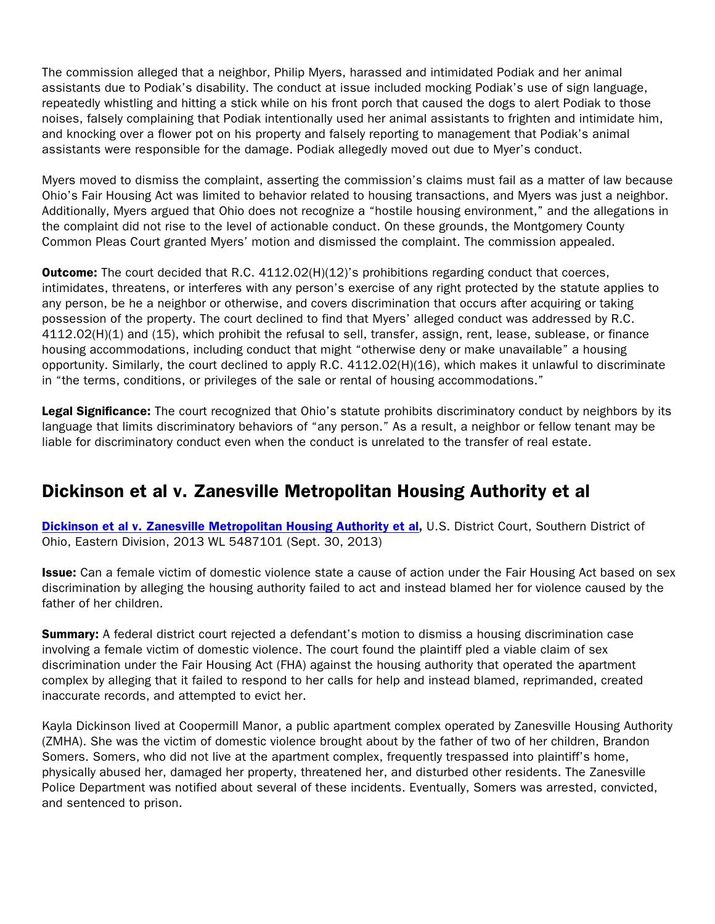The commission alleged that a neighbor, Philip Myers, harassed and intimidated Podiak and her animal assistants due to Podiak's disability. The conduct at issue included mocking Podiak's use of sign language, repeatedly whistling and hitting a stick while on his front porch that caused the dogs to alert Podiak to those noises, falsely complaining that Podiak intentionally used her animal assistants to frighten and intimidate him, and knocking over a flower pot on his property and falsely reporting to management that Podiak's animal assistants were responsible for the damage. Podiak allegedly moved out due to Myer's conduct.

Myers moved to dismiss the complaint, asserting the commission's claims must fail as a matter of law because Ohio's Fair Housing Act was limited to behavior related to housing transactions, and Myers was just a neighbor. Additionally, Myers argued that Ohio does not recognize a "hostile housing environment," and the allegations in the complaint did not rise to the level of actionable conduct. On these grounds, the Montgomery County Common Pleas Court granted Myers' motion and dismissed the complaint. The commission appealed.

**Outcome:** The court decided that R.C. 4112.02(H)(12)'s prohibitions regarding conduct that coerces, intimidates, threatens, or interferes with any person's exercise of any right protected by the statute applies to any person, be he a neighbor or otherwise, and covers discrimination that occurs after acquiring or taking possession of the property. The court declined to find that Myers' alleged conduct was addressed by R.C. 4112.02(H)(1) and (15), which prohibit the refusal to sell, transfer, assign, rent, lease, sublease, or finance housing accommodations, including conduct that might "otherwise deny or make unavailable" a housing opportunity. Similarly, the court declined to apply R.C. 4112.02(H)(16), which makes it unlawful to discriminate in "the terms, conditions, or privileges of the sale or rental of housing accommodations."

Legal Significance: The court recognized that Ohio's statute prohibits discriminatory conduct by neighbors by its language that limits discriminatory behaviors of "any person." As a result, a neighbor or fellow tenant may be liable for discriminatory conduct even when the conduct is unrelated to the transfer of real estate.

## Dickinson et al v. Zanesville Metropolitan Housing Authority et al

Dickinson et al v. Zanesville Metropolitan Housing Authority et al. U.S. District Court, Southern District of Ohio, Eastern Division, 2013 WL 5487101 (Sept. 30, 2013)

Issue: Can a female victim of domestic violence state a cause of action under the Fair Housing Act based on sex [discrimination by alleging the housing authority failed to act and ins](http://docs.justia.com/cases/federal/district-courts/ohio/ohsdce/2:2012cv01024/158347/30/0.pdf?1380692930)tead blamed her for violence caused by the father of her children.

**Summary:** A federal district court rejected a defendant's motion to dismiss a housing discrimination case involving a female victim of domestic violence. The court found the plaintiff pled a viable claim of sex discrimination under the Fair Housing Act (FHA) against the housing authority that operated the apartment complex by alleging that it failed to respond to her calls for help and instead blamed, reprimanded, created inaccurate records, and attempted to evict her.

Kayla Dickinson lived at Coopermill Manor, a public apartment complex operated by Zanesville Housing Authority (ZMHA). She was the victim of domestic violence brought about by the father of two of her children, Brandon Somers. Somers, who did not live at the apartment complex, frequently trespassed into plaintiff's home, physically abused her, damaged her property, threatened her, and disturbed other residents. The Zanesville Police Department was notified about several of these incidents. Eventually, Somers was arrested, convicted, and sentenced to prison.